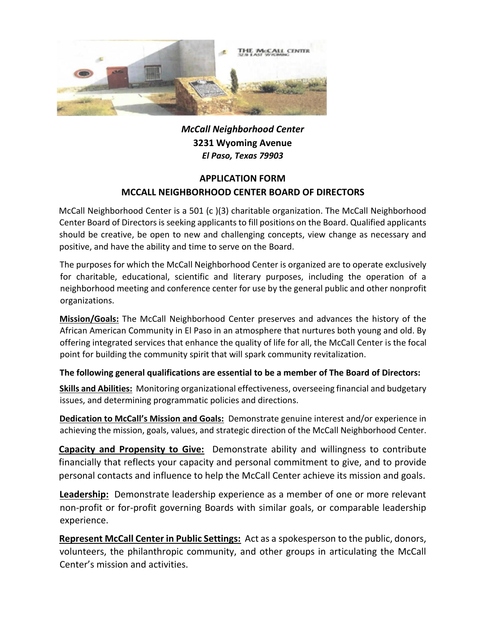

*McCall Neighborhood Center* **3231 Wyoming Avenue** *El Paso, Texas 79903*

## **APPLICATION FORM MCCALL NEIGHBORHOOD CENTER BOARD OF DIRECTORS**

McCall Neighborhood Center is a 501 (c )(3) charitable organization. The McCall Neighborhood Center Board of Directors is seeking applicants to fill positions on the Board. Qualified applicants should be creative, be open to new and challenging concepts, view change as necessary and positive, and have the ability and time to serve on the Board.

The purposes for which the McCall Neighborhood Center is organized are to operate exclusively for charitable, educational, scientific and literary purposes, including the operation of a neighborhood meeting and conference center for use by the general public and other nonprofit organizations.

**Mission/Goals:** The McCall Neighborhood Center preserves and advances the history of the African American Community in El Paso in an atmosphere that nurtures both young and old. By offering integrated services that enhance the quality of life for all, the McCall Center is the focal point for building the community spirit that will spark community revitalization.

### **The following general qualifications are essential to be a member of The Board of Directors:**

**Skills and Abilities:** Monitoring organizational effectiveness, overseeing financial and budgetary issues, and determining programmatic policies and directions.

**Dedication to McCall's Mission and Goals:** Demonstrate genuine interest and/or experience in achieving the mission, goals, values, and strategic direction of the McCall Neighborhood Center.

**Capacity and Propensity to Give:** Demonstrate ability and willingness to contribute financially that reflects your capacity and personal commitment to give, and to provide personal contacts and influence to help the McCall Center achieve its mission and goals.

**Leadership:** Demonstrate leadership experience as a member of one or more relevant non-profit or for-profit governing Boards with similar goals, or comparable leadership experience.

**Represent McCall Center in Public Settings:** Act as a spokesperson to the public, donors, volunteers, the philanthropic community, and other groups in articulating the McCall Center's mission and activities.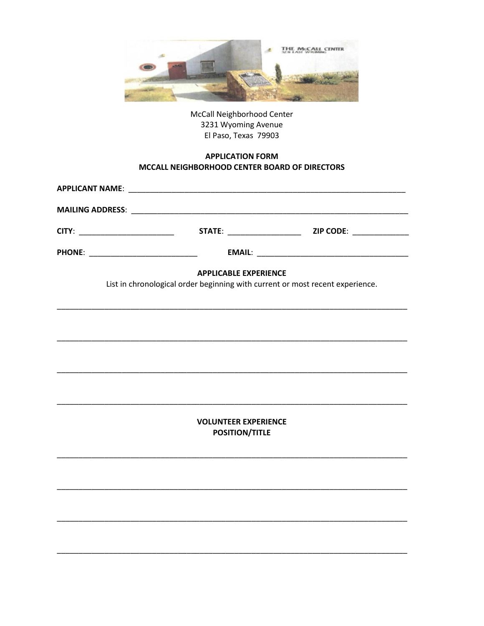

McCall Neighborhood Center 3231 Wyoming Avenue El Paso, Texas 79903

#### **APPLICATION FORM** MCCALL NEIGHBORHOOD CENTER BOARD OF DIRECTORS

| PHONE: _____________________________ |                                                                                                               |  |
|--------------------------------------|---------------------------------------------------------------------------------------------------------------|--|
|                                      | <b>APPLICABLE EXPERIENCE</b><br>List in chronological order beginning with current or most recent experience. |  |
|                                      |                                                                                                               |  |
|                                      |                                                                                                               |  |
|                                      |                                                                                                               |  |
|                                      | <b>VOLUNTEER EXPERIENCE</b><br><b>POSITION/TITLE</b>                                                          |  |
|                                      |                                                                                                               |  |
|                                      |                                                                                                               |  |
|                                      |                                                                                                               |  |